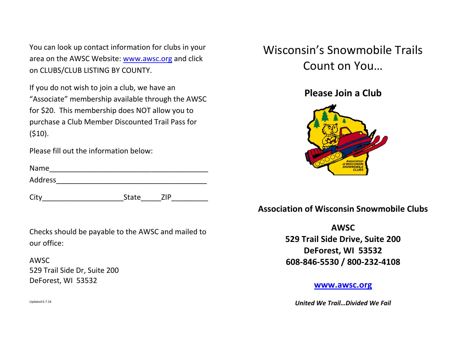You can look up contact information for clubs in your area on the AWSC Website: [www.awsc.org](http://www.awsc.org/) and click on CLUBS/CLUB LISTING BY COUNTY.

If you do not wish to join a club, we have an "Associate" membership available through the AWSC for \$20. This membership does NOT allow you to purchase a Club Member Discounted Trail Pass for  $(510).$ 

Please fill out the information below:

| Name    |  |  |
|---------|--|--|
| Address |  |  |

City City State ZIP

Checks should be payable to the AWSC and mailed to our office:

AWSC 529 Trail Side Dr, Suite 200 DeForest, WI 53532

Wisconsin's Snowmobile Trails Count on You…

**Please Join a Club**



**Association of Wisconsin Snowmobile Clubs**

**AWSC 529 Trail Side Drive, Suite 200 DeForest, WI 53532 608-846-5530 / 800-232-4108**

#### **[www.awsc.org](http://www.awsc.org/)**

*United We Trail…Divided We Fail*

Updated 6.7.16